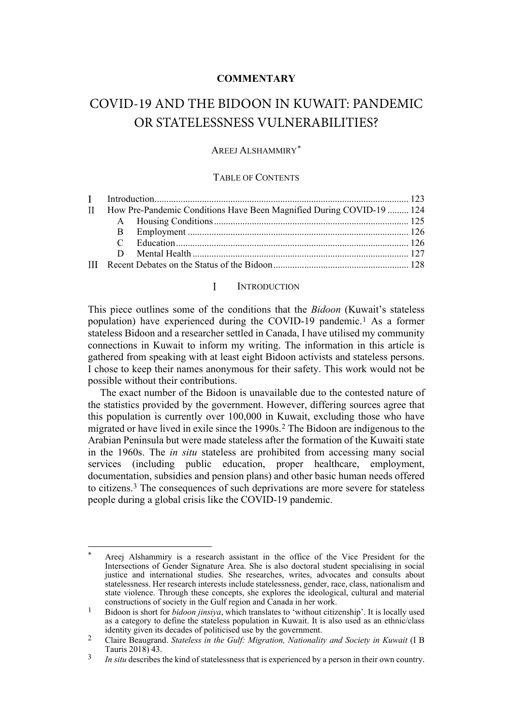# **COMMENTARY**

# COVID-19 AND THE BIDOON IN KUWAIT: PANDEMIC OR STATELESSNESS VULNERABILITIES?

### AREEJ ALSHAMMIRY[\\*](#page-0-1)

### TABLE OF CONTENTS

|  |  | II How Pre-Pandemic Conditions Have Been Magnified During COVID-19  124 |
|--|--|-------------------------------------------------------------------------|

#### <span id="page-0-5"></span><span id="page-0-0"></span> $\mathbf{I}$ **INTRODUCTION**

This piece outlines some of the conditions that the *Bidoon* (Kuwait's stateless population) have experienced during the COVID-19 pandemic.[1](#page-0-2) As a former stateless Bidoon and a researcher settled in Canada, I have utilised my community connections in Kuwait to inform my writing. The information in this article is gathered from speaking with at least eight Bidoon activists and stateless persons. I chose to keep their names anonymous for their safety. This work would not be possible without their contributions.

The exact number of the Bidoon is unavailable due to the contested nature of the statistics provided by the government. However, differing sources agree that this population is currently over 100,000 in Kuwait, excluding those who have migrated or have lived in exile since the 1990s.[2](#page-0-3) The Bidoon are indigenous to the Arabian Peninsula but were made stateless after the formation of the Kuwaiti state in the 1960s. The *in situ* stateless are prohibited from accessing many social services (including public education, proper healthcare, employment, documentation, subsidies and pension plans) and other basic human needs offered to citizens.[3](#page-0-4) The consequences of such deprivations are more severe for stateless people during a global crisis like the COVID-19 pandemic.

<span id="page-0-1"></span>Areej Alshammiry is a research assistant in the office of the Vice President for the Intersections of Gender Signature Area. She is also doctoral student specialising in social justice and international studies. She researches, writes, advocates and consults about statelessness. Her research interests include statelessness, gender, race, class, nationalism and state violence. Through these concepts, she explores the ideological, cultural and material constructions of society in the Gulf region and Canada in her work.

<span id="page-0-2"></span><sup>1</sup> Bidoon is short for *bidoon jinsiya*, which translates to 'without citizenship'. It is locally used as a category to define the stateless population in Kuwait. It is also used as an ethnic/class identity given its decades of politicised use by the government.

<span id="page-0-3"></span><sup>2</sup> Claire Beaugrand. *Stateless in the Gulf: Migration, Nationality and Society in Kuwait* (I B

<span id="page-0-4"></span><sup>&</sup>lt;sup>3</sup> *In situ* describes the kind of statelessness that is experienced by a person in their own country.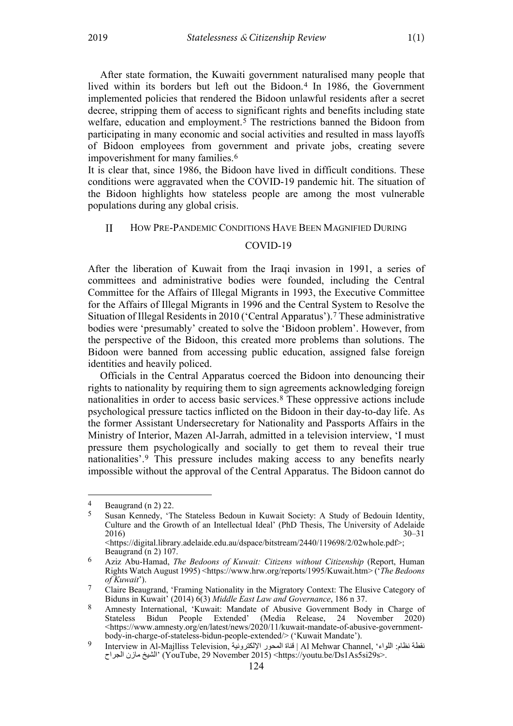After state formation, the Kuwaiti government naturalised many people that lived within its borders but left out the Bidoon.[4](#page-1-1) In 1986, the Government implemented policies that rendered the Bidoon unlawful residents after a secret decree, stripping them of access to significant rights and benefits including state welfare, education and employment.<sup>[5](#page-1-2)</sup> The restrictions banned the Bidoon from participating in many economic and social activities and resulted in mass layoffs of Bidoon employees from government and private jobs, creating severe impoverishment for many families.[6](#page-1-3)

It is clear that, since 1986, the Bidoon have lived in difficult conditions. These conditions were aggravated when the COVID-19 pandemic hit. The situation of the Bidoon highlights how stateless people are among the most vulnerable populations during any global crisis.

#### <span id="page-1-0"></span> $\mathbf{I}$ HOW PRE-PANDEMIC CONDITIONS HAVE BEEN MAGNIFIED DURING

### <span id="page-1-8"></span><span id="page-1-7"></span>COVID-19

After the liberation of Kuwait from the Iraqi invasion in 1991, a series of committees and administrative bodies were founded, including the Central Committee for the Affairs of Illegal Migrants in 1993, the Executive Committee for the Affairs of Illegal Migrants in 1996 and the Central System to Resolve the Situation of Illegal Residents in 2010 ('Central Apparatus').[7](#page-1-4) These administrative bodies were 'presumably' created to solve the 'Bidoon problem'. However, from the perspective of the Bidoon, this created more problems than solutions. The Bidoon were banned from accessing public education, assigned false foreign identities and heavily policed.

Officials in the Central Apparatus coerced the Bidoon into denouncing their rights to nationality by requiring them to sign agreements acknowledging foreign nationalities in order to access basic services.[8](#page-1-5) These oppressive actions include psychological pressure tactics inflicted on the Bidoon in their day-to-day life. As the former Assistant Undersecretary for Nationality and Passports Affairs in the Ministry of Interior, Mazen Al-Jarrah, admitted in a television interview, 'I must pressure them psychologically and socially to get them to reveal their true nationalities'.[9](#page-1-6) This pressure includes making access to any benefits nearly impossible without the approval of the Central Apparatus. The Bidoon cannot do

<span id="page-1-2"></span><span id="page-1-1"></span> $\frac{4}{5}$  Beaugrand ([n 2\)](#page-0-5) 22.

<sup>5</sup> Susan Kennedy, 'The Stateless Bedoun in Kuwait Society: A Study of Bedouin Identity, Culture and the Growth of an Intellectual Ideal' (PhD Thesis, The University of Adelaide 2016) 30–31

<sup>&</sup>lt;https://digital.library.adelaide.edu.au/dspace/bitstream/2440/119698/2/02whole.pdf>; Beaugrand ([n 2\)](#page-0-5) 107.

<span id="page-1-3"></span><sup>6</sup> Aziz Abu-Hamad, *The Bedoons of Kuwait: Citizens without Citizenship* (Report, Human Rights Watch August 1995) <https://www.hrw.org/reports/1995/Kuwait.htm> ('*The Bedoons of Kuwait*').

<span id="page-1-4"></span><sup>7</sup> Claire Beaugrand, 'Framing Nationality in the Migratory Context: The Elusive Category of Biduns in Kuwait' (2014) 6(3) *Middle East Law and Governance*, 186 n 37.

<span id="page-1-5"></span><sup>8</sup> Amnesty International, 'Kuwait: Mandate of Abusive Government Body in Charge of Stateless Bidun People Extended' (Media Release, 24 November 2020) <https://www.amnesty.org/en/latest/news/2020/11/kuwait-mandate-of-abusive-governmentbody-in-charge-of-stateless-bidun-people-extended/> ('Kuwait Mandate').

<span id="page-1-6"></span><sup>9</sup> Interview in Al-Majlliss Television, الإلكترونیة المحور قناة | Al Mehwar Channel, 'اللواء :نظام نقطة الجراح مازن الشیخ) 'YouTube, 29 November 2015) <https://youtu.be/Ds1As5si29s>.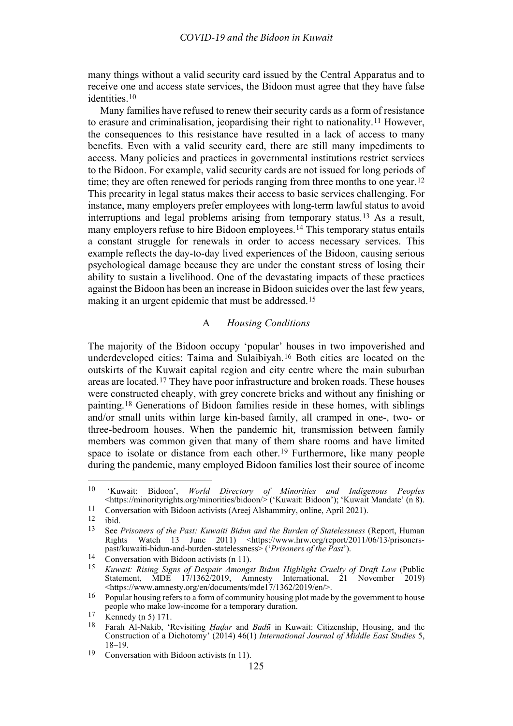many things without a valid security card issued by the Central Apparatus and to receive one and access state services, the Bidoon must agree that they have false identities.[10](#page-2-2)

<span id="page-2-13"></span>Many families have refused to renew their security cards as a form of resistance to erasure and criminalisation, jeopardising their right to nationality.[11](#page-2-3) However, the consequences to this resistance have resulted in a lack of access to many benefits. Even with a valid security card, there are still many impediments to access. Many policies and practices in governmental institutions restrict services to the Bidoon. For example, valid security cards are not issued for long periods of time; they are often renewed for periods ranging from three months to one year.<sup>[12](#page-2-4)</sup> This precarity in legal status makes their access to basic services challenging. For instance, many employers prefer employees with long-term lawful status to avoid interruptions and legal problems arising from temporary status.[13](#page-2-5) As a result, many employers refuse to hire Bidoon employees.[14](#page-2-6) This temporary status entails a constant struggle for renewals in order to access necessary services. This example reflects the day-to-day lived experiences of the Bidoon, causing serious psychological damage because they are under the constant stress of losing their ability to sustain a livelihood. One of the devastating impacts of these practices against the Bidoon has been an increase in Bidoon suicides over the last few years, making it an urgent epidemic that must be addressed.[15](#page-2-7)

# <span id="page-2-12"></span><span id="page-2-1"></span>A *Housing Conditions*

<span id="page-2-0"></span>The majority of the Bidoon occupy 'popular' houses in two impoverished and underdeveloped cities: Taima and Sulaibiyah.[16](#page-2-8) Both cities are located on the outskirts of the Kuwait capital region and city centre where the main suburban areas are located.[17](#page-2-9) They have poor infrastructure and broken roads. These houses were constructed cheaply, with grey concrete bricks and without any finishing or painting.[18](#page-2-10) Generations of Bidoon families reside in these homes, with siblings and/or small units within large kin-based family, all cramped in one-, two- or three-bedroom houses. When the pandemic hit, transmission between family members was common given that many of them share rooms and have limited space to isolate or distance from each other.<sup>[19](#page-2-11)</sup> Furthermore, like many people during the pandemic, many employed Bidoon families lost their source of income

<span id="page-2-2"></span><sup>10</sup> 'Kuwait: Bidoon', *World Directory of Minorities and Indigenous Peoples* <https://minorityrights.org/minorities/bidoon/> ('Kuwait: Bidoon'); 'Kuwait Mandate' (n 8).

<span id="page-2-4"></span><span id="page-2-3"></span><sup>&</sup>lt;sup>11</sup> Conversation with Bidoon activists (Areej Alshammiry, online, April 2021).

ibid.

<span id="page-2-5"></span><sup>13</sup> See *Prisoners of the Past: Kuwaiti Bidun and the Burden of Statelessness* (Report, Human Rights Watch 13 June 2011) <https://www.hrw.org/report/2011/06/13/prisonerspast/kuwaiti-bidun-and-burden-statelessness> ('*Prisoners of the Past*'). 14 Conversation with Bidoon activists (n [11\)](#page-2-1).

<span id="page-2-7"></span><span id="page-2-6"></span>

<sup>15</sup> *Kuwait: Rising Signs of Despair Amongst Bidun Highlight Cruelty of Draft Law* (Public Statement, MDE 17/1362/2019, Amnesty International, 21 November 2019) <https://www.amnesty.org/en/documents/mde17/1362/2019/en/>.

<span id="page-2-8"></span><sup>&</sup>lt;sup>16</sup> Popular housing refers to a form of community housing plot made by the government to house people who make low-income for a temporary duration.

<span id="page-2-10"></span><span id="page-2-9"></span> $\frac{17}{18}$  Kennedy (n [5\)](#page-1-7) 171.

<sup>18</sup> Farah Al-Nakib, 'Revisiting *Ḥaḍar* and *Badū* in Kuwait: Citizenship, Housing, and the Construction of a Dichotomy' (2014) 46(1) *International Journal of Middle East Studies* 5, 18–19.

<span id="page-2-11"></span><sup>19</sup> Conversation with Bidoon activists (n [11\)](#page-2-1).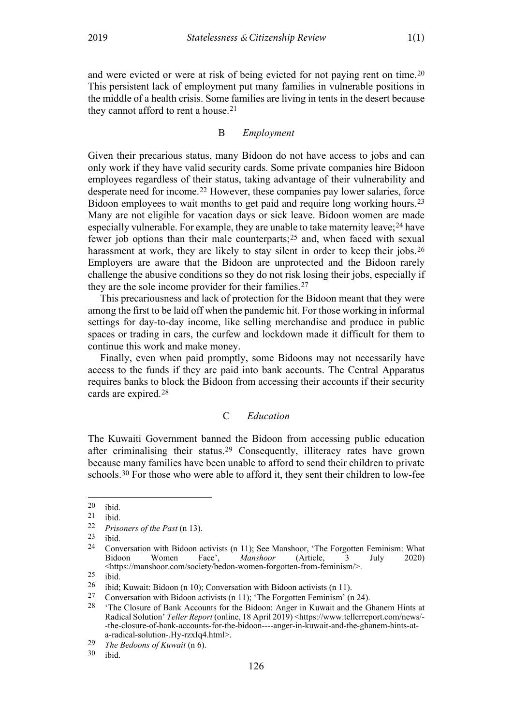and were evicted or were at risk of being evicted for not paying rent on time[.20](#page-3-3) This persistent lack of employment put many families in vulnerable positions in the middle of a health crisis. Some families are living in tents in the desert because they cannot afford to rent a house.[21](#page-3-4)

#### <span id="page-3-2"></span>B *Employment*

<span id="page-3-0"></span>Given their precarious status, many Bidoon do not have access to jobs and can only work if they have valid security cards. Some private companies hire Bidoon employees regardless of their status, taking advantage of their vulnerability and desperate need for income.[22](#page-3-5) However, these companies pay lower salaries, force Bidoon employees to wait months to get paid and require long working hours.<sup>[23](#page-3-6)</sup> Many are not eligible for vacation days or sick leave. Bidoon women are made especially vulnerable. For example, they are unable to take maternity leave;  $24$  have fewer job options than their male counterparts;[25](#page-3-8) and, when faced with sexual harassment at work, they are likely to stay silent in order to keep their jobs.<sup>[26](#page-3-9)</sup> Employers are aware that the Bidoon are unprotected and the Bidoon rarely challenge the abusive conditions so they do not risk losing their jobs, especially if they are the sole income provider for their families.<sup>[27](#page-3-10)</sup>

This precariousness and lack of protection for the Bidoon meant that they were among the first to be laid off when the pandemic hit. For those working in informal settings for day-to-day income, like selling merchandise and produce in public spaces or trading in cars, the curfew and lockdown made it difficult for them to continue this work and make money.

Finally, even when paid promptly, some Bidoons may not necessarily have access to the funds if they are paid into bank accounts. The Central Apparatus requires banks to block the Bidoon from accessing their accounts if their security cards are expired.[28](#page-3-11)

# C *Education*

<span id="page-3-1"></span>The Kuwaiti Government banned the Bidoon from accessing public education after criminalising their status.[29](#page-3-12) Consequently, illiteracy rates have grown because many families have been unable to afford to send their children to private schools.[30](#page-3-13) For those who were able to afford it, they sent their children to low-fee

<span id="page-3-3"></span> $\begin{bmatrix} 20 & \text{ibid.} \\ 21 & \text{ibid.} \end{bmatrix}$ 

<span id="page-3-4"></span> $\frac{21}{22}$  ibid.

<span id="page-3-6"></span><span id="page-3-5"></span><sup>22</sup> *Prisoners of the Past* (n [13\)](#page-2-12).

<span id="page-3-7"></span> $\frac{23}{24}$  ibid.

<sup>24</sup> Conversation with Bidoon activists (n [11\)](#page-2-1); See Manshoor, 'The Forgotten Feminism: What Bidoon Women Face', *Manshoor* (Article, 3 July 2020) <https://manshoor.com/society/bedon-women-forgotten-from-feminism/>.

<span id="page-3-8"></span> $\begin{bmatrix} 25 \\ 26 \end{bmatrix}$  ibid.

<span id="page-3-9"></span><sup>&</sup>lt;sup>26</sup> ibid; Kuwait: Bidoon (n [10\)](#page-2-13); Conversation with Bidoon activists (n [11\)](#page-2-1).<br><sup>27</sup> Conversation with Bidoon activists (n 11): 'The Eorgotten Feminism' (n

<span id="page-3-11"></span><span id="page-3-10"></span><sup>&</sup>lt;sup>27</sup> Conversation with Bidoon activists (n [11\)](#page-2-1); 'The Forgotten Feminism' (n [24\)](#page-3-2).<br><sup>28</sup> The Closure of Bank Accounts for the Bidoon: Anger in Kuwait and the G

<sup>&#</sup>x27;The Closure of Bank Accounts for the Bidoon: Anger in Kuwait and the Ghanem Hints at Radical Solution' *Teller Report* (online, 18 April 2019) <https://www.tellerreport.com/news/- -the-closure-of-bank-accounts-for-the-bidoon----anger-in-kuwait-and-the-ghanem-hints-ata-radical-solution-.Hy-rzxIq4.html>.

<span id="page-3-13"></span><span id="page-3-12"></span><sup>29</sup> *The Bedoons of Kuwait* (n [6\)](#page-1-8).

ibid.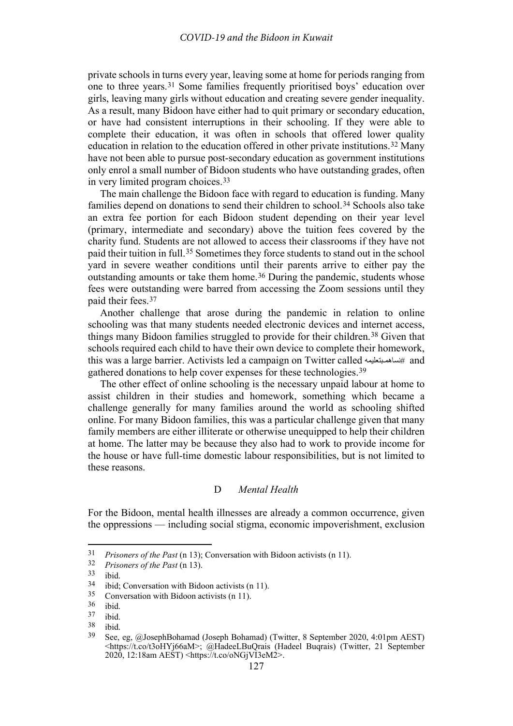private schools in turns every year, leaving some at home for periods ranging from one to three years.[31](#page-4-1) Some families frequently prioritised boys' education over girls, leaving many girls without education and creating severe gender inequality. As a result, many Bidoon have either had to quit primary or secondary education, or have had consistent interruptions in their schooling. If they were able to complete their education, it was often in schools that offered lower quality education in relation to the education offered in other private institutions.[32](#page-4-2) Many have not been able to pursue post-secondary education as government institutions only enrol a small number of Bidoon students who have outstanding grades, often in very limited program choices.[33](#page-4-3)

The main challenge the Bidoon face with regard to education is funding. Many families depend on donations to send their children to school.[34](#page-4-4) Schools also take an extra fee portion for each Bidoon student depending on their year level (primary, intermediate and secondary) above the tuition fees covered by the charity fund. Students are not allowed to access their classrooms if they have not paid their tuition in full.[35](#page-4-5) Sometimes they force students to stand out in the school yard in severe weather conditions until their parents arrive to either pay the outstanding amounts or take them home.<sup>[36](#page-4-6)</sup> During the pandemic, students whose fees were outstanding were barred from accessing the Zoom sessions until they paid their fees.[37](#page-4-7)

Another challenge that arose during the pandemic in relation to online schooling was that many students needed electronic devices and internet access, things many Bidoon families struggled to provide for their children.[38](#page-4-8) Given that schools required each child to have their own device to complete their homework, this was a large barrier. Activists led a campaign on Twitter called نساھمـبتعلیمھ# and gathered donations to help cover expenses for these technologies.<sup>39</sup>

The other effect of online schooling is the necessary unpaid labour at home to assist children in their studies and homework, something which became a challenge generally for many families around the world as schooling shifted online. For many Bidoon families, this was a particular challenge given that many family members are either illiterate or otherwise unequipped to help their children at home. The latter may be because they also had to work to provide income for the house or have full-time domestic labour responsibilities, but is not limited to these reasons.

# D *Mental Health*

<span id="page-4-0"></span>For the Bidoon, mental health illnesses are already a common occurrence, given the oppressions — including social stigma, economic impoverishment, exclusion

<span id="page-4-2"></span><span id="page-4-1"></span><sup>31</sup> *Prisoners of the Past* (n [13\)](#page-2-12); Conversation with Bidoon activists (n [11\)](#page-2-1). 32 *Prisoners of the Past* (n [13\)](#page-2-12).

<span id="page-4-4"></span><span id="page-4-3"></span> $\frac{33}{34}$  ibid.

ibid; Conversation with Bidoon activists (n [11\)](#page-2-1).

<span id="page-4-5"></span> $\frac{35}{36}$  Conversation with Bidoon activists (n [11\)](#page-2-1).

<span id="page-4-6"></span> $\frac{36}{37}$  ibid.

<span id="page-4-7"></span> $\frac{37}{38}$  ibid.

<span id="page-4-8"></span> $\frac{38}{39}$  ibid.

<sup>39</sup> See, eg, @JosephBohamad (Joseph Bohamad) (Twitter, 8 September 2020, 4:01pm AEST) [<https://t.co/t3oHYj66aM>](https://t.co/t3oHYj66aM); @HadeeLBuQrais (Hadeel Buqrais) (Twitter, 21 September 2020, 12:18am AEST) [<https://t.co/oNGjVI3eM2>](https://t.co/oNGjVI3eM2).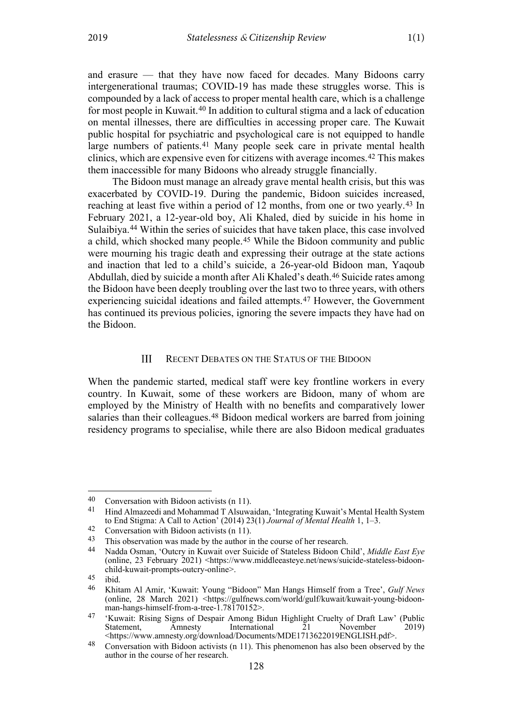and erasure — that they have now faced for decades. Many Bidoons carry intergenerational traumas; COVID-19 has made these struggles worse. This is compounded by a lack of access to proper mental health care, which is a challenge for most people in Kuwait.[40](#page-5-1) In addition to cultural stigma and a lack of education on mental illnesses, there are difficulties in accessing proper care. The Kuwait public hospital for psychiatric and psychological care is not equipped to handle large numbers of patients.<sup>[41](#page-5-2)</sup> Many people seek care in private mental health clinics, which are expensive even for citizens with average incomes.[42](#page-5-3) This makes them inaccessible for many Bidoons who already struggle financially.

The Bidoon must manage an already grave mental health crisis, but this was exacerbated by COVID-19. During the pandemic, Bidoon suicides increased, reaching at least five within a period of 12 months, from one or two yearly.[43](#page-5-4) In February 2021, a 12-year-old boy, Ali Khaled, died by suicide in his home in Sulaibiya.[44](#page-5-5) Within the series of suicides that have taken place, this case involved a child, which shocked many people.[45](#page-5-6) While the Bidoon community and public were mourning his tragic death and expressing their outrage at the state actions and inaction that led to a child's suicide, a 26-year-old Bidoon man, Yaqoub Abdullah, died by suicide a month after Ali Khaled's death[.46](#page-5-7) Suicide rates among the Bidoon have been deeply troubling over the last two to three years, with others experiencing suicidal ideations and failed attempts.[47](#page-5-8) However, the Government has continued its previous policies, ignoring the severe impacts they have had on the Bidoon.

#### IΙI RECENT DEBATES ON THE STATUS OF THE BIDOON

<span id="page-5-0"></span>When the pandemic started, medical staff were key frontline workers in every country. In Kuwait, some of these workers are Bidoon, many of whom are employed by the Ministry of Health with no benefits and comparatively lower salaries than their colleagues.[48](#page-5-9) Bidoon medical workers are barred from joining residency programs to specialise, while there are also Bidoon medical graduates

<span id="page-5-2"></span><span id="page-5-1"></span><sup>40</sup> Conversation with Bidoon activists (n [11\)](#page-2-1).<br>41 Hind Almazeedi and Mohammad T Alsuwaidan, 'Integrating Kuwait's Mental Health System to End Stigma: A Call to Action' (2014) 23(1) *Journal of Mental Health* 1, 1–3.

<span id="page-5-4"></span><span id="page-5-3"></span>

<sup>42</sup> Conversation with Bidoon activists (n [11\)](#page-2-1).<br>43 This observation was made by the author in the course of her research.<br>44 Nadda Osman 'Qutery in Kuwait over Suicide of Stateless Bidoon Ch

<span id="page-5-5"></span><sup>44</sup> Nadda Osman, 'Outcry in Kuwait over Suicide of Stateless Bidoon Child', *Middle East Eye* (online, 23 February 2021) [<https://www.middleeasteye.net/news/suicide-stateless-bidoon](https://www.middleeasteye.net/news/suicide-stateless-bidoon-child-kuwait-prompts-outcry-online)[child-kuwait-prompts-outcry-online>](https://www.middleeasteye.net/news/suicide-stateless-bidoon-child-kuwait-prompts-outcry-online).

<span id="page-5-7"></span><span id="page-5-6"></span> $\frac{45}{46}$  ibid.

<sup>46</sup> Khitam Al Amir, 'Kuwait: Young "Bidoon" Man Hangs Himself from a Tree', *Gulf News* (online, 28 March 2021) [<https://gulfnews.com/world/gulf/kuwait/kuwait-young-bidoon](https://gulfnews.com/world/gulf/kuwait/kuwait-young-bidoon-man-hangs-himself-from-a-tree-1.78170152)[man-hangs-himself-from-a-tree-1.78170152>](https://gulfnews.com/world/gulf/kuwait/kuwait-young-bidoon-man-hangs-himself-from-a-tree-1.78170152).

<span id="page-5-8"></span><sup>47</sup> 'Kuwait: Rising Signs of Despair Among Bidun Highlight Cruelty of Draft Law' (Public International <https://www.amnesty.org/download/Documents/MDE1713622019ENGLISH.pdf>.

<span id="page-5-9"></span><sup>48</sup> Conversation with Bidoon activists (n [11\)](#page-2-1). This phenomenon has also been observed by the author in the course of her research.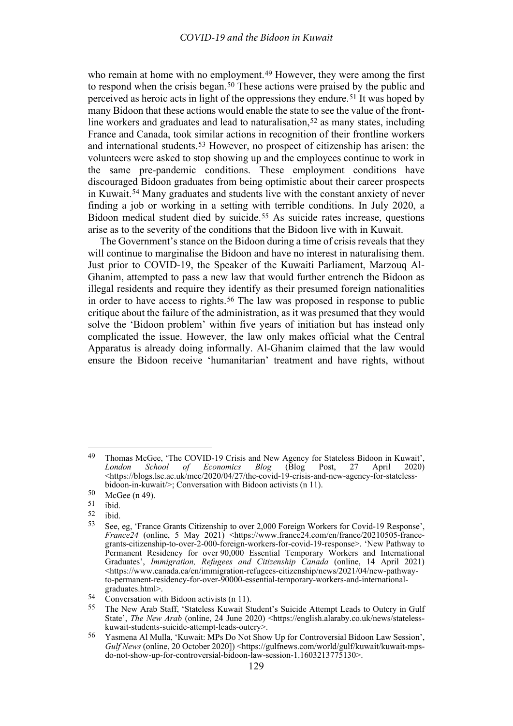who remain at home with no employment.<sup>[49](#page-6-0)</sup> However, they were among the first to respond when the crisis began.<sup>[50](#page-6-1)</sup> These actions were praised by the public and perceived as heroic acts in light of the oppressions they endure.[51](#page-6-2) It was hoped by many Bidoon that these actions would enable the state to see the value of the front-line workers and graduates and lead to naturalisation,<sup>[52](#page-6-3)</sup> as many states, including France and Canada, took similar actions in recognition of their frontline workers and international students.[53](#page-6-4) However, no prospect of citizenship has arisen: the volunteers were asked to stop showing up and the employees continue to work in the same pre-pandemic conditions. These employment conditions have discouraged Bidoon graduates from being optimistic about their career prospects in Kuwait.[54](#page-6-5) Many graduates and students live with the constant anxiety of never finding a job or working in a setting with terrible conditions. In July 2020, a Bidoon medical student died by suicide.[55](#page-6-6) As suicide rates increase, questions arise as to the severity of the conditions that the Bidoon live with in Kuwait.

The Government's stance on the Bidoon during a time of crisis reveals that they will continue to marginalise the Bidoon and have no interest in naturalising them. Just prior to COVID-19, the Speaker of the Kuwaiti Parliament, Marzouq Al-Ghanim, attempted to pass a new law that would further entrench the Bidoon as illegal residents and require they identify as their presumed foreign nationalities in order to have access to rights.<sup>[56](#page-6-7)</sup> The law was proposed in response to public critique about the failure of the administration, as it was presumed that they would solve the 'Bidoon problem' within five years of initiation but has instead only complicated the issue. However, the law only makes official what the Central Apparatus is already doing informally. Al-Ghanim claimed that the law would ensure the Bidoon receive 'humanitarian' treatment and have rights, without

<span id="page-6-0"></span><sup>49</sup> Thomas McGee, 'The COVID-19 Crisis and New Agency for Stateless Bidoon in Kuwait',<br> *London School of Economics Blog* (Blog Post, 27 April 2020) *School of Economics* [<https://blogs.lse.ac.uk/mec/2020/04/27/the-covid-19-crisis-and-new-agency-for-stateless](https://blogs.lse.ac.uk/mec/2020/04/27/the-covid-19-crisis-and-new-agency-for-stateless-bidoon-in-kuwait/)[bidoon-in-kuwait/>](https://blogs.lse.ac.uk/mec/2020/04/27/the-covid-19-crisis-and-new-agency-for-stateless-bidoon-in-kuwait/); Conversation with Bidoon activists (n [11\)](#page-2-1).

<span id="page-6-1"></span> $50$  McGee (n 49).<br>51 ibid

<span id="page-6-2"></span> $\begin{bmatrix} 51 & \text{ibid.} \\ 52 & \text{ibid.} \end{bmatrix}$ 

<span id="page-6-4"></span><span id="page-6-3"></span> $\frac{52}{53}$  ibid.

<sup>53</sup> See, eg, 'France Grants Citizenship to over 2,000 Foreign Workers for Covid-19 Response', *France*<sup>24</sup> (online, 5 May 2021) <https://www.france<sup>24</sup>.com/en/france/20210505-francegrants-citizenship-to-over-2-000-foreign-workers-for-covid-19-response>. 'New Pathway to Permanent Residency for over 90,000 Essential Temporary Workers and International Graduates', *Immigration, Refugees and Citizenship Canada* (online, 14 April 2021) <https://www.canada.ca/en/immigration-refugees-citizenship/news/2021/04/new-pathwayto-permanent-residency-for-over-90000-essential-temporary-workers-and-internationalgraduates.html>.

<span id="page-6-6"></span><span id="page-6-5"></span><sup>54</sup> Conversation with Bidoon activists (n [11\)](#page-2-1).

<sup>55</sup> The New Arab Staff, 'Stateless Kuwait Student's Suicide Attempt Leads to Outcry in Gulf State', *The New Arab* (online, 24 June 2020) [<https://english.alaraby.co.uk/news/stateless](https://english.alaraby.co.uk/news/stateless-kuwait-students-suicide-attempt-leads-outcry)[kuwait-students-suicide-attempt-leads-outcry>](https://english.alaraby.co.uk/news/stateless-kuwait-students-suicide-attempt-leads-outcry).

<span id="page-6-7"></span><sup>56</sup> Yasmena Al Mulla, 'Kuwait: MPs Do Not Show Up for Controversial Bidoon Law Session', *Gulf News* (online, 20 October 2020]) [<https://gulfnews.com/world/gulf/kuwait/kuwait-mps](https://gulfnews.com/world/gulf/kuwait/kuwait-mps-do-not-show-up-for-controversial-bidoon-law-session-1.1603213775130)[do-not-show-up-for-controversial-bidoon-law-session-1.1603213775130>](https://gulfnews.com/world/gulf/kuwait/kuwait-mps-do-not-show-up-for-controversial-bidoon-law-session-1.1603213775130).